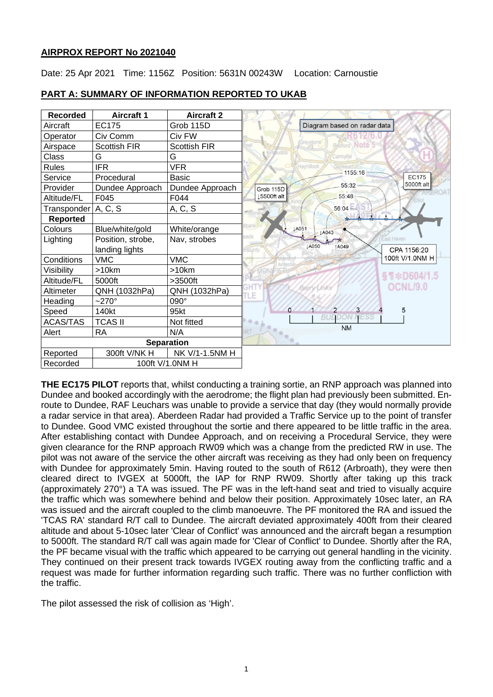# **AIRPROX REPORT No 2021040**

Date: 25 Apr 2021 Time: 1156Z Position: 5631N 00243W Location: Carnoustie



#### **PART A: SUMMARY OF INFORMATION REPORTED TO UKAB**

**THE EC175 PILOT** reports that, whilst conducting a training sortie, an RNP approach was planned into Dundee and booked accordingly with the aerodrome; the flight plan had previously been submitted. Enroute to Dundee, RAF Leuchars was unable to provide a service that day (they would normally provide a radar service in that area). Aberdeen Radar had provided a Traffic Service up to the point of transfer to Dundee. Good VMC existed throughout the sortie and there appeared to be little traffic in the area. After establishing contact with Dundee Approach, and on receiving a Procedural Service, they were given clearance for the RNP approach RW09 which was a change from the predicted RW in use. The pilot was not aware of the service the other aircraft was receiving as they had only been on frequency with Dundee for approximately 5min. Having routed to the south of R612 (Arbroath), they were then cleared direct to IVGEX at 5000ft, the IAP for RNP RW09. Shortly after taking up this track (approximately 270°) a TA was issued. The PF was in the left-hand seat and tried to visually acquire the traffic which was somewhere behind and below their position. Approximately 10sec later, an RA was issued and the aircraft coupled to the climb manoeuvre. The PF monitored the RA and issued the 'TCAS RA' standard R/T call to Dundee. The aircraft deviated approximately 400ft from their cleared altitude and about 5-10sec later 'Clear of Conflict' was announced and the aircraft began a resumption to 5000ft. The standard R/T call was again made for 'Clear of Conflict' to Dundee. Shortly after the RA, the PF became visual with the traffic which appeared to be carrying out general handling in the vicinity. They continued on their present track towards IVGEX routing away from the conflicting traffic and a request was made for further information regarding such traffic. There was no further confliction with the traffic.

The pilot assessed the risk of collision as 'High'.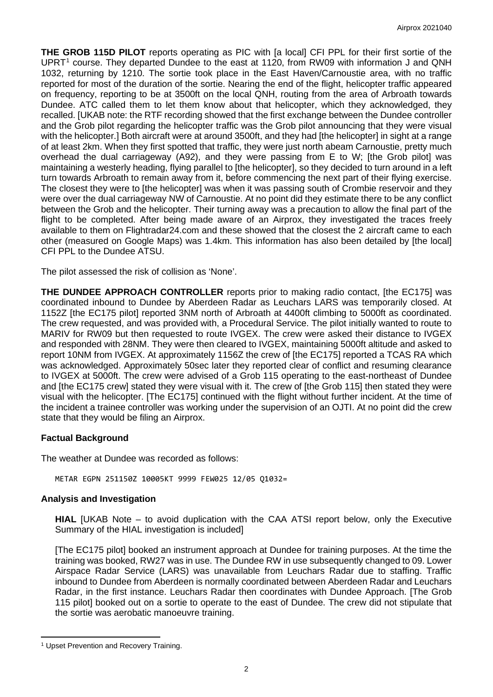**THE GROB 115D PILOT** reports operating as PIC with [a local] CFI PPL for their first sortie of the UPRT<sup>[1](#page-1-0)</sup> course. They departed Dundee to the east at 1120, from RW09 with information J and QNH 1032, returning by 1210. The sortie took place in the East Haven/Carnoustie area, with no traffic reported for most of the duration of the sortie. Nearing the end of the flight, helicopter traffic appeared on frequency, reporting to be at 3500ft on the local QNH, routing from the area of Arbroath towards Dundee. ATC called them to let them know about that helicopter, which they acknowledged, they recalled. [UKAB note: the RTF recording showed that the first exchange between the Dundee controller and the Grob pilot regarding the helicopter traffic was the Grob pilot announcing that they were visual with the helicopter.] Both aircraft were at around 3500ft, and they had [the helicopter] in sight at a range of at least 2km. When they first spotted that traffic, they were just north abeam Carnoustie, pretty much overhead the dual carriageway (A92), and they were passing from E to W; [the Grob pilot] was maintaining a westerly heading, flying parallel to [the helicopter], so they decided to turn around in a left turn towards Arbroath to remain away from it, before commencing the next part of their flying exercise. The closest they were to [the helicopter] was when it was passing south of Crombie reservoir and they were over the dual carriageway NW of Carnoustie. At no point did they estimate there to be any conflict between the Grob and the helicopter. Their turning away was a precaution to allow the final part of the flight to be completed. After being made aware of an Airprox, they investigated the traces freely available to them on Flightradar24.com and these showed that the closest the 2 aircraft came to each other (measured on Google Maps) was 1.4km. This information has also been detailed by [the local] CFI PPL to the Dundee ATSU.

The pilot assessed the risk of collision as 'None'.

**THE DUNDEE APPROACH CONTROLLER** reports prior to making radio contact, [the EC175] was coordinated inbound to Dundee by Aberdeen Radar as Leuchars LARS was temporarily closed. At 1152Z [the EC175 pilot] reported 3NM north of Arbroath at 4400ft climbing to 5000ft as coordinated. The crew requested, and was provided with, a Procedural Service. The pilot initially wanted to route to MARIV for RW09 but then requested to route IVGEX. The crew were asked their distance to IVGEX and responded with 28NM. They were then cleared to IVGEX, maintaining 5000ft altitude and asked to report 10NM from IVGEX. At approximately 1156Z the crew of [the EC175] reported a TCAS RA which was acknowledged. Approximately 50sec later they reported clear of conflict and resuming clearance to IVGEX at 5000ft. The crew were advised of a Grob 115 operating to the east-northeast of Dundee and [the EC175 crew] stated they were visual with it. The crew of [the Grob 115] then stated they were visual with the helicopter. [The EC175] continued with the flight without further incident. At the time of the incident a trainee controller was working under the supervision of an OJTI. At no point did the crew state that they would be filing an Airprox.

# **Factual Background**

The weather at Dundee was recorded as follows:

METAR EGPN 251150Z 10005KT 9999 FEW025 12/05 Q1032=

# **Analysis and Investigation**

**HIAL** [UKAB Note – to avoid duplication with the CAA ATSI report below, only the Executive Summary of the HIAL investigation is included]

[The EC175 pilot] booked an instrument approach at Dundee for training purposes. At the time the training was booked, RW27 was in use. The Dundee RW in use subsequently changed to 09. Lower Airspace Radar Service (LARS) was unavailable from Leuchars Radar due to staffing. Traffic inbound to Dundee from Aberdeen is normally coordinated between Aberdeen Radar and Leuchars Radar, in the first instance. Leuchars Radar then coordinates with Dundee Approach. [The Grob 115 pilot] booked out on a sortie to operate to the east of Dundee. The crew did not stipulate that the sortie was aerobatic manoeuvre training.

<span id="page-1-0"></span><sup>&</sup>lt;sup>1</sup> Upset Prevention and Recovery Training.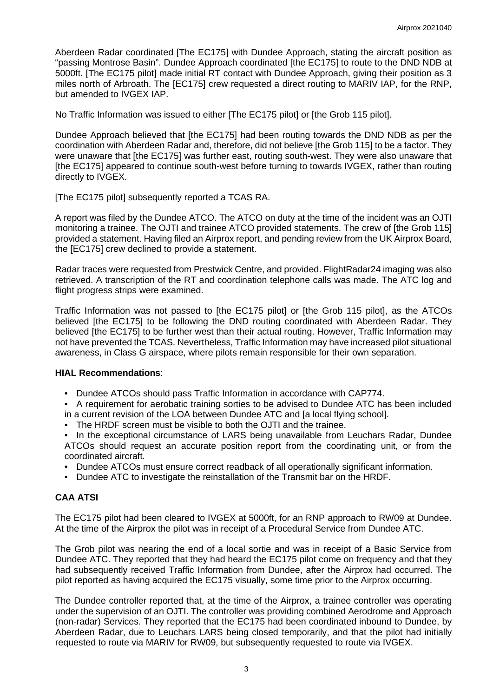Aberdeen Radar coordinated [The EC175] with Dundee Approach, stating the aircraft position as "passing Montrose Basin". Dundee Approach coordinated [the EC175] to route to the DND NDB at 5000ft. [The EC175 pilot] made initial RT contact with Dundee Approach, giving their position as 3 miles north of Arbroath. The [EC175] crew requested a direct routing to MARIV IAP, for the RNP, but amended to IVGEX IAP.

No Traffic Information was issued to either [The EC175 pilot] or [the Grob 115 pilot].

Dundee Approach believed that [the EC175] had been routing towards the DND NDB as per the coordination with Aberdeen Radar and, therefore, did not believe [the Grob 115] to be a factor. They were unaware that [the EC175] was further east, routing south-west. They were also unaware that [the EC175] appeared to continue south-west before turning to towards IVGEX, rather than routing directly to IVGEX.

[The EC175 pilot] subsequently reported a TCAS RA.

A report was filed by the Dundee ATCO. The ATCO on duty at the time of the incident was an OJTI monitoring a trainee. The OJTI and trainee ATCO provided statements. The crew of [the Grob 115] provided a statement. Having filed an Airprox report, and pending review from the UK Airprox Board, the [EC175] crew declined to provide a statement.

Radar traces were requested from Prestwick Centre, and provided. FlightRadar24 imaging was also retrieved. A transcription of the RT and coordination telephone calls was made. The ATC log and flight progress strips were examined.

Traffic Information was not passed to [the EC175 pilot] or [the Grob 115 pilot], as the ATCOs believed [the EC175] to be following the DND routing coordinated with Aberdeen Radar. They believed [the EC175] to be further west than their actual routing. However, Traffic Information may not have prevented the TCAS. Nevertheless, Traffic Information may have increased pilot situational awareness, in Class G airspace, where pilots remain responsible for their own separation.

#### **HIAL Recommendations**:

- Dundee ATCOs should pass Traffic Information in accordance with CAP774.
- A requirement for aerobatic training sorties to be advised to Dundee ATC has been included in a current revision of the LOA between Dundee ATC and [a local flying school].
- The HRDF screen must be visible to both the OJTI and the trainee.

• In the exceptional circumstance of LARS being unavailable from Leuchars Radar, Dundee ATCOs should request an accurate position report from the coordinating unit, or from the coordinated aircraft.

- Dundee ATCOs must ensure correct readback of all operationally significant information.
- Dundee ATC to investigate the reinstallation of the Transmit bar on the HRDF.

# **CAA ATSI**

The EC175 pilot had been cleared to IVGEX at 5000ft, for an RNP approach to RW09 at Dundee. At the time of the Airprox the pilot was in receipt of a Procedural Service from Dundee ATC.

The Grob pilot was nearing the end of a local sortie and was in receipt of a Basic Service from Dundee ATC. They reported that they had heard the EC175 pilot come on frequency and that they had subsequently received Traffic Information from Dundee, after the Airprox had occurred. The pilot reported as having acquired the EC175 visually, some time prior to the Airprox occurring.

The Dundee controller reported that, at the time of the Airprox, a trainee controller was operating under the supervision of an OJTI. The controller was providing combined Aerodrome and Approach (non-radar) Services. They reported that the EC175 had been coordinated inbound to Dundee, by Aberdeen Radar, due to Leuchars LARS being closed temporarily, and that the pilot had initially requested to route via MARIV for RW09, but subsequently requested to route via IVGEX.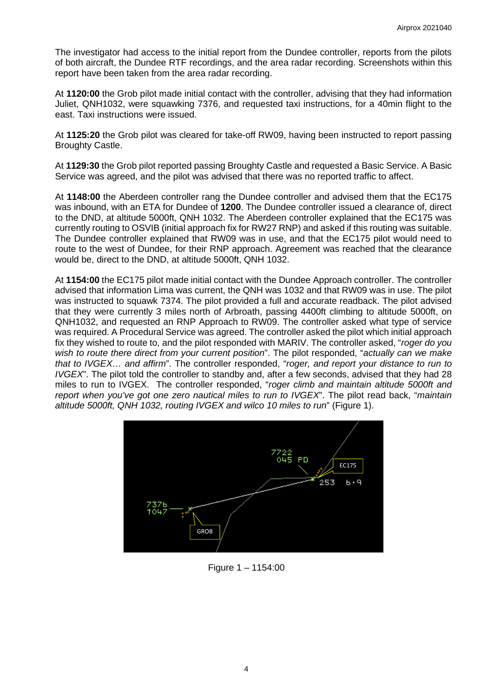The investigator had access to the initial report from the Dundee controller, reports from the pilots of both aircraft, the Dundee RTF recordings, and the area radar recording. Screenshots within this report have been taken from the area radar recording.

At **1120:00** the Grob pilot made initial contact with the controller, advising that they had information Juliet, QNH1032, were squawking 7376, and requested taxi instructions, for a 40min flight to the east. Taxi instructions were issued.

At **1125:20** the Grob pilot was cleared for take-off RW09, having been instructed to report passing Broughty Castle.

At **1129:30** the Grob pilot reported passing Broughty Castle and requested a Basic Service. A Basic Service was agreed, and the pilot was advised that there was no reported traffic to affect.

At **1148:00** the Aberdeen controller rang the Dundee controller and advised them that the EC175 was inbound, with an ETA for Dundee of **1200**. The Dundee controller issued a clearance of, direct to the DND, at altitude 5000ft, QNH 1032. The Aberdeen controller explained that the EC175 was currently routing to OSVIB (initial approach fix for RW27 RNP) and asked if this routing was suitable. The Dundee controller explained that RW09 was in use, and that the EC175 pilot would need to route to the west of Dundee, for their RNP approach. Agreement was reached that the clearance would be, direct to the DND, at altitude 5000ft, QNH 1032.

At **1154:00** the EC175 pilot made initial contact with the Dundee Approach controller. The controller advised that information Lima was current, the QNH was 1032 and that RW09 was in use. The pilot was instructed to squawk 7374. The pilot provided a full and accurate readback. The pilot advised that they were currently 3 miles north of Arbroath, passing 4400ft climbing to altitude 5000ft, on QNH1032, and requested an RNP Approach to RW09. The controller asked what type of service was required. A Procedural Service was agreed. The controller asked the pilot which initial approach fix they wished to route to, and the pilot responded with MARIV. The controller asked, "*roger do you wish to route there direct from your current position*". The pilot responded, "*actually can we make that to IVGEX… and affirm*". The controller responded, "*roger, and report your distance to run to IVGEX*". The pilot told the controller to standby and, after a few seconds, advised that they had 28 miles to run to IVGEX. The controller responded, "*roger climb and maintain altitude 5000ft and report when you've got one zero nautical miles to run to IVGEX*". The pilot read back, "*maintain altitude 5000ft, QNH 1032, routing IVGEX and wilco 10 miles to run*" (Figure 1).



Figure 1 – 1154:00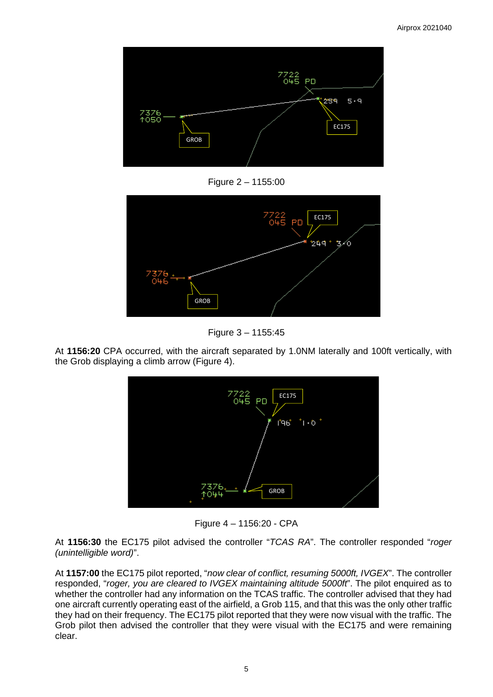

Figure 2 – 1155:00





At **1156:20** CPA occurred, with the aircraft separated by 1.0NM laterally and 100ft vertically, with the Grob displaying a climb arrow (Figure 4).



Figure 4 – 1156:20 - CPA

At **1156:30** the EC175 pilot advised the controller "*TCAS RA*". The controller responded "*roger (unintelligible word)*".

At **1157:00** the EC175 pilot reported, "*now clear of conflict, resuming 5000ft, IVGEX*". The controller responded, "*roger, you are cleared to IVGEX maintaining altitude 5000ft*". The pilot enquired as to whether the controller had any information on the TCAS traffic. The controller advised that they had one aircraft currently operating east of the airfield, a Grob 115, and that this was the only other traffic they had on their frequency. The EC175 pilot reported that they were now visual with the traffic. The Grob pilot then advised the controller that they were visual with the EC175 and were remaining clear.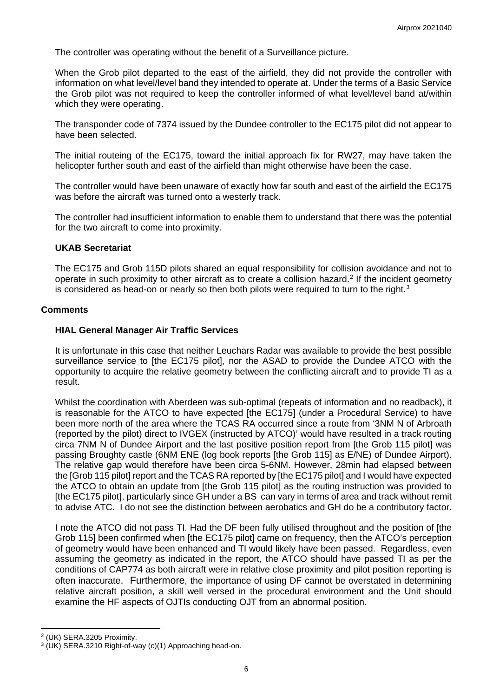The controller was operating without the benefit of a Surveillance picture.

When the Grob pilot departed to the east of the airfield, they did not provide the controller with information on what level/level band they intended to operate at. Under the terms of a Basic Service the Grob pilot was not required to keep the controller informed of what level/level band at/within which they were operating.

The transponder code of 7374 issued by the Dundee controller to the EC175 pilot did not appear to have been selected.

The initial routeing of the EC175, toward the initial approach fix for RW27, may have taken the helicopter further south and east of the airfield than might otherwise have been the case.

The controller would have been unaware of exactly how far south and east of the airfield the EC175 was before the aircraft was turned onto a westerly track.

The controller had insufficient information to enable them to understand that there was the potential for the two aircraft to come into proximity.

#### **UKAB Secretariat**

The EC175 and Grob 115D pilots shared an equal responsibility for collision avoidance and not to operate in such proximity to other aircraft as to create a collision hazard. [2](#page-5-0) If the incident geometry is considered as head-on or nearly so then both pilots were required to turn to the right.<sup>[3](#page-5-1)</sup>

#### **Comments**

#### **HIAL General Manager Air Traffic Services**

It is unfortunate in this case that neither Leuchars Radar was available to provide the best possible surveillance service to [the EC175 pilot], nor the ASAD to provide the Dundee ATCO with the opportunity to acquire the relative geometry between the conflicting aircraft and to provide TI as a result.

Whilst the coordination with Aberdeen was sub-optimal (repeats of information and no readback), it is reasonable for the ATCO to have expected [the EC175] (under a Procedural Service) to have been more north of the area where the TCAS RA occurred since a route from '3NM N of Arbroath (reported by the pilot) direct to IVGEX (instructed by ATCO)' would have resulted in a track routing circa 7NM N of Dundee Airport and the last positive position report from [the Grob 115 pilot] was passing Broughty castle (6NM ENE (log book reports [the Grob 115] as E/NE) of Dundee Airport). The relative gap would therefore have been circa 5-6NM. However, 28min had elapsed between the [Grob 115 pilot] report and the TCAS RA reported by [the EC175 pilot] and I would have expected the ATCO to obtain an update from [the Grob 115 pilot] as the routing instruction was provided to [the EC175 pilot], particularly since GH under a BS can vary in terms of area and track without remit to advise ATC. I do not see the distinction between aerobatics and GH do be a contributory factor.

I note the ATCO did not pass TI. Had the DF been fully utilised throughout and the position of [the Grob 115] been confirmed when [the EC175 pilot] came on frequency, then the ATCO's perception of geometry would have been enhanced and TI would likely have been passed. Regardless, even assuming the geometry as indicated in the report, the ATCO should have passed TI as per the conditions of CAP774 as both aircraft were in relative close proximity and pilot position reporting is often inaccurate. Furthermore, the importance of using DF cannot be overstated in determining relative aircraft position, a skill well versed in the procedural environment and the Unit should examine the HF aspects of OJTIs conducting OJT from an abnormal position.

<sup>2</sup> (UK) SERA.3205 Proximity.

<span id="page-5-1"></span><span id="page-5-0"></span><sup>3</sup> (UK) SERA.3210 Right-of-way (c)(1) Approaching head-on.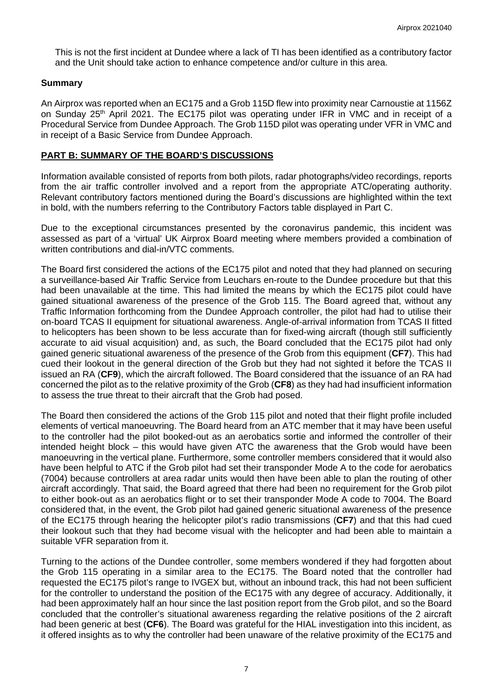This is not the first incident at Dundee where a lack of TI has been identified as a contributory factor and the Unit should take action to enhance competence and/or culture in this area.

# **Summary**

An Airprox was reported when an EC175 and a Grob 115D flew into proximity near Carnoustie at 1156Z on Sunday 25<sup>th</sup> April 2021. The EC175 pilot was operating under IFR in VMC and in receipt of a Procedural Service from Dundee Approach. The Grob 115D pilot was operating under VFR in VMC and in receipt of a Basic Service from Dundee Approach.

# **PART B: SUMMARY OF THE BOARD'S DISCUSSIONS**

Information available consisted of reports from both pilots, radar photographs/video recordings, reports from the air traffic controller involved and a report from the appropriate ATC/operating authority. Relevant contributory factors mentioned during the Board's discussions are highlighted within the text in bold, with the numbers referring to the Contributory Factors table displayed in Part C.

Due to the exceptional circumstances presented by the coronavirus pandemic, this incident was assessed as part of a 'virtual' UK Airprox Board meeting where members provided a combination of written contributions and dial-in/VTC comments.

The Board first considered the actions of the EC175 pilot and noted that they had planned on securing a surveillance-based Air Traffic Service from Leuchars en-route to the Dundee procedure but that this had been unavailable at the time. This had limited the means by which the EC175 pilot could have gained situational awareness of the presence of the Grob 115. The Board agreed that, without any Traffic Information forthcoming from the Dundee Approach controller, the pilot had had to utilise their on-board TCAS II equipment for situational awareness. Angle-of-arrival information from TCAS II fitted to helicopters has been shown to be less accurate than for fixed-wing aircraft (though still sufficiently accurate to aid visual acquisition) and, as such, the Board concluded that the EC175 pilot had only gained generic situational awareness of the presence of the Grob from this equipment (**CF7**). This had cued their lookout in the general direction of the Grob but they had not sighted it before the TCAS II issued an RA (**CF9**), which the aircraft followed. The Board considered that the issuance of an RA had concerned the pilot as to the relative proximity of the Grob (**CF8**) as they had had insufficient information to assess the true threat to their aircraft that the Grob had posed.

The Board then considered the actions of the Grob 115 pilot and noted that their flight profile included elements of vertical manoeuvring. The Board heard from an ATC member that it may have been useful to the controller had the pilot booked-out as an aerobatics sortie and informed the controller of their intended height block – this would have given ATC the awareness that the Grob would have been manoeuvring in the vertical plane. Furthermore, some controller members considered that it would also have been helpful to ATC if the Grob pilot had set their transponder Mode A to the code for aerobatics (7004) because controllers at area radar units would then have been able to plan the routing of other aircraft accordingly. That said, the Board agreed that there had been no requirement for the Grob pilot to either book-out as an aerobatics flight or to set their transponder Mode A code to 7004. The Board considered that, in the event, the Grob pilot had gained generic situational awareness of the presence of the EC175 through hearing the helicopter pilot's radio transmissions (**CF7**) and that this had cued their lookout such that they had become visual with the helicopter and had been able to maintain a suitable VFR separation from it.

Turning to the actions of the Dundee controller, some members wondered if they had forgotten about the Grob 115 operating in a similar area to the EC175. The Board noted that the controller had requested the EC175 pilot's range to IVGEX but, without an inbound track, this had not been sufficient for the controller to understand the position of the EC175 with any degree of accuracy. Additionally, it had been approximately half an hour since the last position report from the Grob pilot, and so the Board concluded that the controller's situational awareness regarding the relative positions of the 2 aircraft had been generic at best (**CF6**). The Board was grateful for the HIAL investigation into this incident, as it offered insights as to why the controller had been unaware of the relative proximity of the EC175 and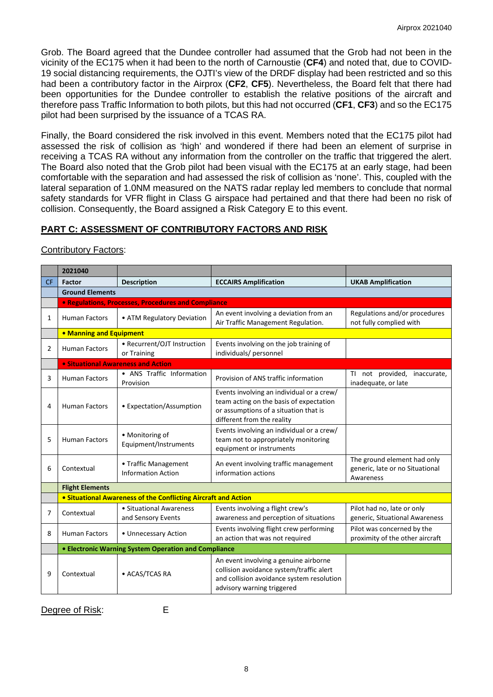Grob. The Board agreed that the Dundee controller had assumed that the Grob had not been in the vicinity of the EC175 when it had been to the north of Carnoustie (**CF4**) and noted that, due to COVID-19 social distancing requirements, the OJTI's view of the DRDF display had been restricted and so this had been a contributory factor in the Airprox (**CF2**, **CF5**). Nevertheless, the Board felt that there had been opportunities for the Dundee controller to establish the relative positions of the aircraft and therefore pass Traffic Information to both pilots, but this had not occurred (**CF1**, **CF3**) and so the EC175 pilot had been surprised by the issuance of a TCAS RA.

Finally, the Board considered the risk involved in this event. Members noted that the EC175 pilot had assessed the risk of collision as 'high' and wondered if there had been an element of surprise in receiving a TCAS RA without any information from the controller on the traffic that triggered the alert. The Board also noted that the Grob pilot had been visual with the EC175 at an early stage, had been comfortable with the separation and had assessed the risk of collision as 'none'. This, coupled with the lateral separation of 1.0NM measured on the NATS radar replay led members to conclude that normal safety standards for VFR flight in Class G airspace had pertained and that there had been no risk of collision. Consequently, the Board assigned a Risk Category E to this event.

# **PART C: ASSESSMENT OF CONTRIBUTORY FACTORS AND RISK**

|           | 2021040                                                        |                                                   |                                                                                                                                                              |                                                                             |
|-----------|----------------------------------------------------------------|---------------------------------------------------|--------------------------------------------------------------------------------------------------------------------------------------------------------------|-----------------------------------------------------------------------------|
| <b>CF</b> | <b>Factor</b>                                                  | <b>Description</b>                                | <b>ECCAIRS Amplification</b>                                                                                                                                 | <b>UKAB Amplification</b>                                                   |
|           | <b>Ground Elements</b>                                         |                                                   |                                                                                                                                                              |                                                                             |
|           | <b>• Regulations, Processes, Procedures and Compliance</b>     |                                                   |                                                                                                                                                              |                                                                             |
| 1         | <b>Human Factors</b>                                           | • ATM Regulatory Deviation                        | An event involving a deviation from an<br>Air Traffic Management Regulation.                                                                                 | Regulations and/or procedures<br>not fully complied with                    |
|           | • Manning and Equipment                                        |                                                   |                                                                                                                                                              |                                                                             |
| 2         | <b>Human Factors</b>                                           | • Recurrent/OJT Instruction<br>or Training        | Events involving on the job training of<br>individuals/ personnel                                                                                            |                                                                             |
|           | • Situational Awareness and Action                             |                                                   |                                                                                                                                                              |                                                                             |
| 3         | <b>Human Factors</b>                                           | • ANS Traffic Information<br>Provision            | Provision of ANS traffic information                                                                                                                         | TI not provided,<br>inaccurate,<br>inadequate, or late                      |
| 4         | <b>Human Factors</b>                                           | • Expectation/Assumption                          | Events involving an individual or a crew/<br>team acting on the basis of expectation<br>or assumptions of a situation that is<br>different from the reality  |                                                                             |
| 5         | <b>Human Factors</b>                                           | • Monitoring of<br>Equipment/Instruments          | Events involving an individual or a crew/<br>team not to appropriately monitoring<br>equipment or instruments                                                |                                                                             |
| 6         | Contextual                                                     | • Traffic Management<br><b>Information Action</b> | An event involving traffic management<br>information actions                                                                                                 | The ground element had only<br>generic, late or no Situational<br>Awareness |
|           | <b>Flight Elements</b>                                         |                                                   |                                                                                                                                                              |                                                                             |
|           | • Situational Awareness of the Conflicting Aircraft and Action |                                                   |                                                                                                                                                              |                                                                             |
| 7         | Contextual                                                     | • Situational Awareness<br>and Sensory Events     | Events involving a flight crew's<br>awareness and perception of situations                                                                                   | Pilot had no, late or only<br>generic, Situational Awareness                |
| 8         | <b>Human Factors</b>                                           | • Unnecessary Action                              | Events involving flight crew performing<br>an action that was not required                                                                                   | Pilot was concerned by the<br>proximity of the other aircraft               |
|           | • Electronic Warning System Operation and Compliance           |                                                   |                                                                                                                                                              |                                                                             |
| 9         | Contextual                                                     | • ACAS/TCAS RA                                    | An event involving a genuine airborne<br>collision avoidance system/traffic alert<br>and collision avoidance system resolution<br>advisory warning triggered |                                                                             |

Contributory Factors:

Degree of Risk: E